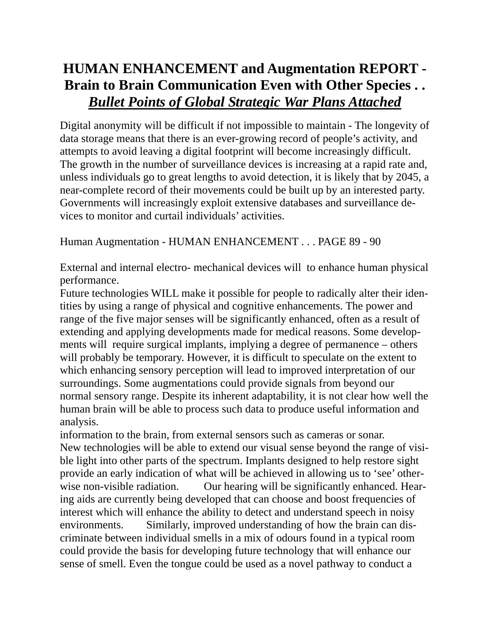## **HUMAN ENHANCEMENT and Augmentation REPORT - Brain to Brain Communication Even with Other Species . .**  *Bullet Points of Global Strategic War Plans Attached*

Digital anonymity will be difficult if not impossible to maintain - The longevity of data storage means that there is an ever-growing record of people's activity, and attempts to avoid leaving a digital footprint will become increasingly difficult. The growth in the number of surveillance devices is increasing at a rapid rate and, unless individuals go to great lengths to avoid detection, it is likely that by 2045, a near-complete record of their movements could be built up by an interested party. Governments will increasingly exploit extensive databases and surveillance devices to monitor and curtail individuals' activities.

Human Augmentation - HUMAN ENHANCEMENT . . . PAGE 89 - 90

External and internal electro- mechanical devices will to enhance human physical performance.

Future technologies WILL make it possible for people to radically alter their identities by using a range of physical and cognitive enhancements. The power and range of the five major senses will be significantly enhanced, often as a result of extending and applying developments made for medical reasons. Some developments will require surgical implants, implying a degree of permanence – others will probably be temporary. However, it is difficult to speculate on the extent to which enhancing sensory perception will lead to improved interpretation of our surroundings. Some augmentations could provide signals from beyond our normal sensory range. Despite its inherent adaptability, it is not clear how well the human brain will be able to process such data to produce useful information and analysis.

information to the brain, from external sensors such as cameras or sonar. New technologies will be able to extend our visual sense beyond the range of visible light into other parts of the spectrum. Implants designed to help restore sight provide an early indication of what will be achieved in allowing us to 'see' otherwise non-visible radiation. Our hearing will be significantly enhanced. Hearing aids are currently being developed that can choose and boost frequencies of interest which will enhance the ability to detect and understand speech in noisy environments. Similarly, improved understanding of how the brain can discriminate between individual smells in a mix of odours found in a typical room could provide the basis for developing future technology that will enhance our sense of smell. Even the tongue could be used as a novel pathway to conduct a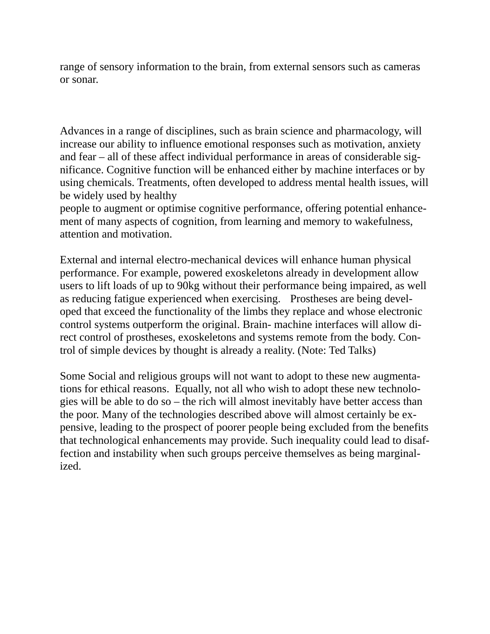range of sensory information to the brain, from external sensors such as cameras or sonar.

Advances in a range of disciplines, such as brain science and pharmacology, will increase our ability to influence emotional responses such as motivation, anxiety and fear – all of these affect individual performance in areas of considerable significance. Cognitive function will be enhanced either by machine interfaces or by using chemicals. Treatments, often developed to address mental health issues, will be widely used by healthy

people to augment or optimise cognitive performance, offering potential enhancement of many aspects of cognition, from learning and memory to wakefulness, attention and motivation.

External and internal electro-mechanical devices will enhance human physical performance. For example, powered exoskeletons already in development allow users to lift loads of up to 90kg without their performance being impaired, as well as reducing fatigue experienced when exercising. Prostheses are being developed that exceed the functionality of the limbs they replace and whose electronic control systems outperform the original. Brain- machine interfaces will allow direct control of prostheses, exoskeletons and systems remote from the body. Control of simple devices by thought is already a reality. (Note: Ted Talks)

Some Social and religious groups will not want to adopt to these new augmentations for ethical reasons. Equally, not all who wish to adopt these new technologies will be able to do so – the rich will almost inevitably have better access than the poor. Many of the technologies described above will almost certainly be expensive, leading to the prospect of poorer people being excluded from the benefits that technological enhancements may provide. Such inequality could lead to disaffection and instability when such groups perceive themselves as being marginalized.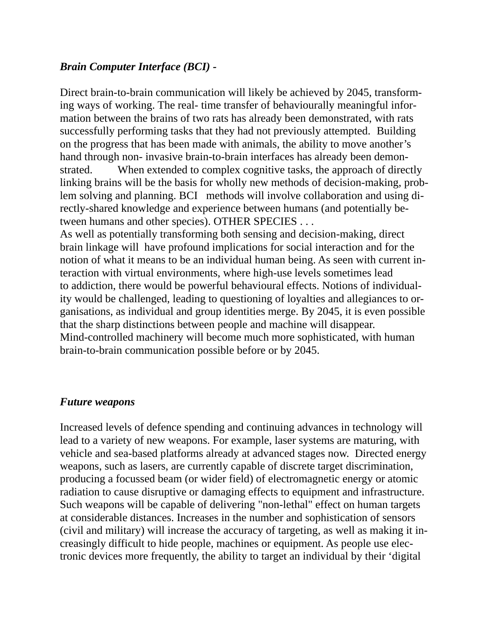## *Brain Computer Interface (BCI) -*

Direct brain-to-brain communication will likely be achieved by 2045, transforming ways of working. The real- time transfer of behaviourally meaningful information between the brains of two rats has already been demonstrated, with rats successfully performing tasks that they had not previously attempted. Building on the progress that has been made with animals, the ability to move another's hand through non- invasive brain-to-brain interfaces has already been demonstrated. When extended to complex cognitive tasks, the approach of directly linking brains will be the basis for wholly new methods of decision-making, problem solving and planning. BCI methods will involve collaboration and using directly-shared knowledge and experience between humans (and potentially between humans and other species). OTHER SPECIES . . .

As well as potentially transforming both sensing and decision-making, direct brain linkage will have profound implications for social interaction and for the notion of what it means to be an individual human being. As seen with current interaction with virtual environments, where high-use levels sometimes lead to addiction, there would be powerful behavioural effects. Notions of individuality would be challenged, leading to questioning of loyalties and allegiances to organisations, as individual and group identities merge. By 2045, it is even possible that the sharp distinctions between people and machine will disappear. Mind-controlled machinery will become much more sophisticated, with human brain-to-brain communication possible before or by 2045.

## *Future weapons*

Increased levels of defence spending and continuing advances in technology will lead to a variety of new weapons. For example, laser systems are maturing, with vehicle and sea-based platforms already at advanced stages now. Directed energy weapons, such as lasers, are currently capable of discrete target discrimination, producing a focussed beam (or wider field) of electromagnetic energy or atomic radiation to cause disruptive or damaging effects to equipment and infrastructure. Such weapons will be capable of delivering "non-lethal" effect on human targets at considerable distances. Increases in the number and sophistication of sensors (civil and military) will increase the accuracy of targeting, as well as making it increasingly difficult to hide people, machines or equipment. As people use electronic devices more frequently, the ability to target an individual by their 'digital